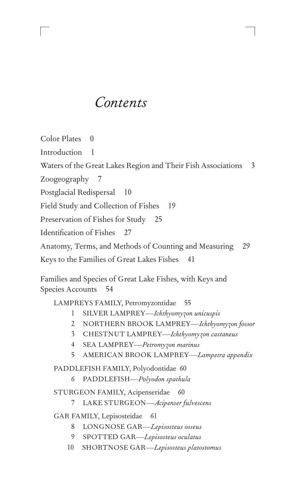# *Contents*

Color Plates 0 Introduction 1 Waters of the Great Lakes Region and Their Fish Associations 3 Zoogeography 7 Postglacial Redispersal 10 Field Study and Collection of Fishes 19 Preservation of Fishes for Study 25 Identification of Fishes 27 Anatomy, Terms, and Methods of Counting and Measuring 29 Keys to the Families of Great Lakes Fishes 41

Families and Species of Great Lake Fishes, with Keys and Species Accounts 54

LAMPREYS FAMILY, Petromyzontidae 55

- 1 SILVER LAMPREY—*Ichthyomyzon unicuspis*
- 2 NORTHERN BROOK LAMPREY—*Ichthyomyzon fossor*
- 3 CHESTNUT LAMPREY—*Ichthyomyzon castaneus*
- 4 SEA LAMPREY—*Petromyzon marinus*
- 5 AMERICAN BROOK LAMPREY—*Lampetra appendix*

PADDLEFISH FAMILY, Polyodontidae 60

6 PADDLEFISH—*Polyodon spathula*

STURGEON FAMILY, Acipenseridae 60

7 LAKE STURGEON—*Acipenser fulvescens*

GAR FAMILY, Lepisosteidae 61

- 8 LONGNOSE GAR—*Lepisosteus osseus*
- 9 SPOTTED GAR—*Lepisosteus oculatus*
- 10 SHORTNOSE GAR—*Lepisosteus platostomus*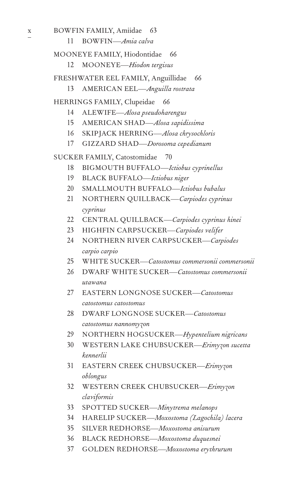- 36 BLACK REDHORSE-Moxostoma duquesnei 37 GOLDEN REDHORSE-Moxostoma erythrurum
- 32 WESTERN CREEK CHUBSUCKER-Erimyzon claviformis

SPOTTED SUCKER-Minytrema melanops 34 HARELIP SUCKER-Moxostoma (Lagochila) lacera

35 SILVER REDHORSE-Moxostoma anisurum

- $31$ EASTERN CREEK CHUBSUCKER-Erimyzon oblongus
- 30 WESTERN LAKE CHUBSUCKER-Erimyzon sucetta kennerlii
- 29 NORTHERN HOGSUCKER-Hypentelium nigricans
- catostomus nannomyzon
- catostomus catostomus 28 DWARF LONGNOSE SUCKER-Catostomus
- 27 EASTERN LONGNOSE SUCKER-Catostomus
- 26 DWARF WHITE SUCKER-Catostomus commersonii utawana
- carpio carpio  $25$ WHITE SUCKER—Catostomus commersonii commersonii
- 24 NORTHERN RIVER CARPSUCKER-Carpiodes
- 23 HIGHFIN CARPSUCKER-Carpiodes velifer
- cyprinus 22 CENTRAL QUILLBACK-Carpiodes cyprinus hinei
- 20 SMALLMOUTH BUFFALO-Ictiobus bubalus  $21$ NORTHERN QUILLBACK-Carpiodes cyprinus
- 19 BLACK BUFFALO-Ictiobus niger
- **BIGMOUTH BUFFALO**-Ictiobus cyprinellus

18

SUCKER FAMILY, Catostomidae 70

- 
- 
- 17 GIZZARD SHAD-Dorosoma cepedianum
- 

ALEWIFE-Alosa pseudoharengus

AMERICAN SHAD-*Alosa sapidissima* 16 SKIPJACK HERRING-Alosa chrysochloris

66

66

66

### FRESHWATER EEL FAMILY, Anguillidae AMERICAN EEL-Anguilla rostrata 13

MOONEYE-Hiodon tergisus 12

BOWFIN-Amia calva

 $\mathbf X$ 

 $11$ 

14  $15<sup>15</sup>$ 

33

BOWFIN FAMILY, Amiidae 63

MOONEYE FAMILY, Hiodontidae

HERRINGS FAMILY, Clupeidae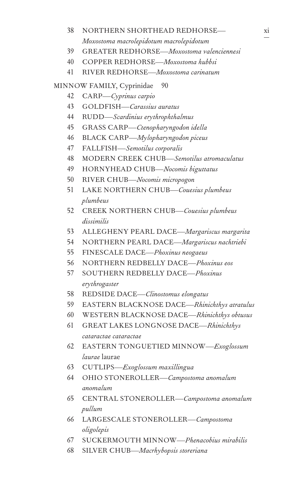- 38 NORTHERN SHORTHEAD REDHORSE— *Moxostoma macrolepidotum macrolepidotum*
- 39 GREATER REDHORSE—*Moxostoma valenciennesi*
- 40 COPPER REDHORSE—*Moxostoma hubbsi*
- 41 RIVER REDHORSE—*Moxostoma carinatum*

MINNOW FAMILY, Cyprinidae 90

- 42 CARP—*Cyprinus carpio*
- 43 GOLDFISH—*Carassius auratus*
- 44 RUDD—*Scardinius erythrophthalmus*
- 45 GRASS CARP—*Ctenopharyngodon idella*
- 46 BLACK CARP*—Mylopharyngodon piceus*
- 47 FALLFISH—*Semotilus corporalis*
- 48 MODERN CREEK CHUB—*Semotilus atromaculatus*
- 49 HORNYHEAD CHUB—*Nocomis biguttatus*
- 50 RIVER CHUB—*Nocomis micropogon*
- 51 LAKE NORTHERN CHUB—*Couesius plumbeus plumbeus*
- 52 CREEK NORTHERN CHUB—*Couesius plumbeus dissimilis*
- 53 ALLEGHENY PEARL DACE—*Margariscus margarita*
- 54 NORTHERN PEARL DACE—*Margariscus nachtriebi*
- 55 FINESCALE DACE—*Phoxinus neogaeus*
- 56 NORTHERN REDBELLY DACE—*Phoxinus eos*
- 57 SOUTHERN REDBELLY DACE—*Phoxinus erythrogaster*
- 58 REDSIDE DACE—*Clinostomus elongatus*
- 59 EASTERN BLACKNOSE DACE—*Rhinichthys atratulus*
- 60 WESTERN BLACKNOSE DACE—*Rhinichthys obtusus*
- 61 GREAT LAKES LONGNOSE DACE—*Rhinichthys cataractae cataractae*
- 62 EASTERN TONGUETIED MINNOW—*Exoglossum laurae* laurae
- 63 CUTLIPS—*Exoglossum maxillingua*
- 64 OHIO STONEROLLER—*Campostoma anomalum anomalum*
- 65 CENTRAL STONEROLLER—*Campostoma anomalum pullum*
- 66 LARGESCALE STONEROLLER—*Campostoma oligolepis*
- 67 SUCKERMOUTH MINNOW—*Phenacobius mirabilis*
- 68 SILVER CHUB—*Macrhybopsis storeriana*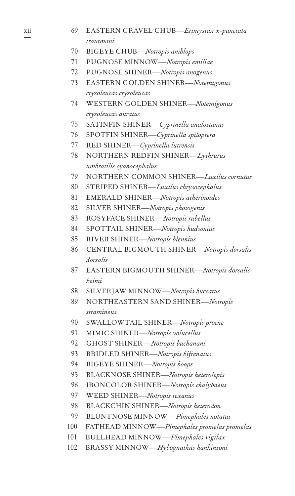- 70 BIGEYE CHUB—*Notropis amblops* 71 PUGNOSE MINNOW—*Notropis emiliae* 72 PUGNOSE SHINER—*Notropis anogenus* 73 EASTERN GOLDEN SHINER—*Notemigonus crysoleucas crysoleucas* 74 WESTERN GOLDEN SHINER—*Notemigonus crysoleucas auratus* 75 SATINFIN SHINER—*Cyprinella analostanus* 76 SPOTFIN SHINER—*Cyprinella spiloptera* 77 RED SHINER—*Cyprinella lutrensis* 78 NORTHERN REDFIN SHINER—*Lythrurus umbratilis cyanocephalus* 79 NORTHERN COMMON SHINER—*Luxilus cornutus* 80 STRIPED SHINER—*Luxilus chrysocephalus* 81 EMERALD SHINER—*Notropis atherinoides* 82 SILVER SHINER—*Notropis photogenis* 83 ROSYFACE SHINER—*Notropis rubellus* 84 SPOTTAIL SHINER—*Notropis hudsonius* 85 RIVER SHINER—*Notropis blennius* 86 CENTRAL BIGMOUTH SHINER—*Notropis dorsalis dorsalis* 87 EASTERN BIGMOUTH SHINER—*Notropis dorsalis keimi* 88 SILVERJAW MINNOW—*Notropis buccatus* 89 NORTHEASTERN SAND SHINER—*Notropis stramineus* 90 SWALLOWTAIL SHINER—*Notropis procne* 91 MIMIC SHINER—*Notropis volucellus* 92 GHOST SHINER—*Notropis buchanani* 93 BRIDLED SHINER—*Notropis bifrenatus* 94 BIGEYE SHINER—*Notropis boops* 95 BLACKNOSE SHINER—*Notropis heterolepis* 96 IRONCOLOR SHINER—*Notropis chalybaeus* 97 WEED SHINER—*Notropis texanus* 98 BLACKCHIN SHINER—*Notropis heterodon* 99 BLUNTNOSE MINNOW—*Pimephales notatus* 100 FATHEAD MINNOW—*Pimephales promelas promelas* 101 BULLHEAD MINNOW—*Pimephales vigilax*
- 102 BRASSY MINNOW—*Hybognathus hankinsoni*

xii

69 EASTERN GRAVEL CHUB—*Erimystax x-punctata trautmani*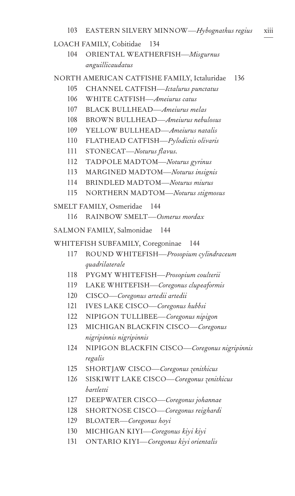### LOACH FAMILY, Cobitidae 134

104 ORIENTAL WEATHERFISH—*Misgurnus anguillicaudatus*

### NORTH AMERICAN CATFISHE FAMILY, Ictaluridae 136

- 105 CHANNEL CATFISH—*Ictalurus punctatus*
- 106 WHITE CATFISH—*Ameiurus catus*
- 107 BLACK BULLHEAD—*Ameiurus melas*
- 108 BROWN BULLHEAD—*Ameiurus nebulosus*
- 109 YELLOW BULLHEAD—*Ameiurus natalis*
- 110 FLATHEAD CATFISH—*Pylodictis olivaris*
- 111 STONECAT—*Noturus flavus.*
- 112 TADPOLE MADTOM—*Noturus gyrinus*
- 113 MARGINED MADTOM—*Noturus insignis*
- 114 BRINDLED MADTOM—*Noturus miurus*
- 115 NORTHERN MADTOM—*Noturus stigmosus*

SMELT FAMILY, Osmeridae 144

116 RAINBOW SMELT—*Osmerus mordax*

SALMON FAMILY, Salmonidae 144

WHITEFISH SUBFAMILY, Coregoninae 144

- 117 ROUND WHITEFISH—*Prosopium cylindraceum quadrilaterale*
- 118 PYGMY WHITEFISH—*Prosopium coulterii*
- 119 LAKE WHITEFISH—*Coregonus clupeaformis*
- 120 CISCO—*Coregonus artedii artedii*
- 121 IVES LAKE CISCO—*Coregonus hubbsi*
- 122 NIPIGON TULLIBEE—*Coregonus nipigon*
- 123 MICHIGAN BLACKFIN CISCO—*Coregonus nigripinnis nigripinnis*
- 124 NIPIGON BLACKFIN CISCO—*Coregonus nigripinnis regalis*
- 125 SHORTJAW CISCO—*Coregonus zenithicus*
- 126 SISKIWIT LAKE CISCO—*Coregonus zenithicus bartletti*
- 127 DEEPWATER CISCO—*Coregonus johannae*
- 128 SHORTNOSE CISCO—*Coregonus reighardi*
- 129 BLOATER—*Coregonus hoyi*
- 130 MICHIGAN KIYI—*Coregonus kiyi kiyi*
- 131 ONTARIO KIYI—*Coregonus kiyi orientalis*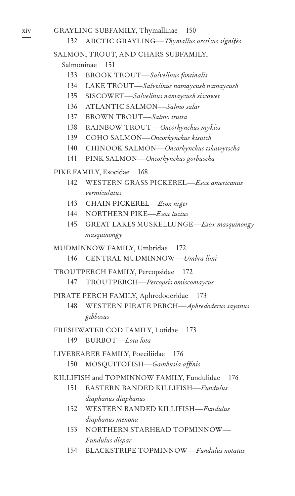GRAYLING SUBFAMILY, Thymallinae

xiv

#### 132 ARCTIC GRAYLING-Thymallus arcticus signifes

150

### SALMON, TROUT, AND CHARS SUBFAMILY,

Salmoninae 151

- 133 **BROOK TROUT—Salvelinus fontinalis**
- 134 LAKE TROUT-Salvelinus namaycush namaycush
- 135 SISCOWET-Salvelinus namaycush siscowet
- 136 ATLANTIC SALMON-Salmo salar
- 137 BROWN TROUT-Salmo trutta
- 138 RAINBOW TROUT-Oncorhynchus mykiss
- 139 COHO SALMON-Oncorhynchus kisutch
- 140 CHINOOK SALMON-Oncorhynchus tshawytscha
- 141 PINK SALMON-Oncorhynchus gorbuscha

PIKE FAMILY, Esocidae 168

- 142 WESTERN GRASS PICKEREL—Esox americanus vermiculatus
- 143 CHAIN PICKEREL-Esox niger
- 144 NORTHERN PIKE-Esox lucius
- 145 GREAT LAKES MUSKELLUNGE-Esox masquinongy masquinongy

MUDMINNOW FAMILY, Umbridae 172

```
146 CENTRAL MUDMINNOW-Umbra limi
```
TROUTPERCH FAMILY, Percopsidae 172

- TROUTPERCH-Percopsis omiscomaycus 147
- PIRATE PERCH FAMILY, Aphredoderidae 173
	- WESTERN PIRATE PERCH-Aphredoderus sayanus 148 gibbosus
- FRESHWATER COD FAMILY, Lotidae 173
	- 149 BURBOT-Lota lota

LIVEBEARER FAMILY, Poeciliidae 176 150 MOSQUITOFISH-Gambusia affinis

KILLIFISH and TOPMINNOW FAMILY, Fundulidae 176

- 151 EASTERN BANDED KILLIFISH-Fundulus diaphanus diaphanus
- 152 WESTERN BANDED KILLIFISH-Fundulus diaphanus menona
- 153 NORTHERN STARHEAD TOPMINNOW-Fundulus dispar
- 154 BLACKSTRIPE TOPMINNOW—Fundulus notatus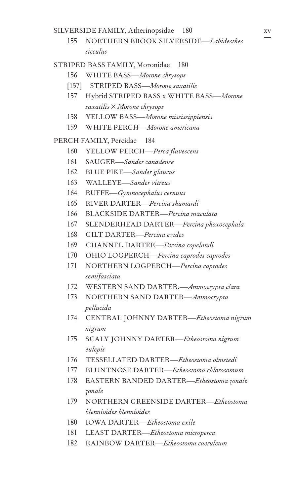SILVERSIDE FAMILY, Atherinopsidae 180

155 NORTHERN BROOK SILVERSIDE—*Labidesthes sicculus*

### STRIPED BASS FAMILY, Moronidae 180

- 156 WHITE BASS—*Morone chrysops*
- [157] STRIPED BASS—*Morone saxatilis*
- 157 Hybrid STRIPED BASS x WHITE BASS—*Morone saxatilis* × *Morone chrysops*
- 158 YELLOW BASS—*Morone mississippiensis*
- 159 WHITE PERCH—*Morone americana*

### PERCH FAMILY, Percidae 184

- 160 YELLOW PERCH—*Perca flavescens*
- 161 SAUGER—*Sander canadense*
- 162 BLUE PIKE—*Sander glaucus*
- 163 WALLEYE—*Sander vitreus*
- 164 RUFFE—*Gymnocephalus cernuus*
- 165 RIVER DARTER—*Percina shumardi*
- 166 BLACKSIDE DARTER—*Percina maculata*
- 167 SLENDERHEAD DARTER—*Percina phoxocephala*
- 168 GILT DARTER—*Percina evides*
- 169 CHANNEL DARTER—*Percina copelandi*
- 170 OHIO LOGPERCH—*Percina caprodes caprodes*
- 171 NORTHERN LOGPERCH—*Percina caprodes semifasciata*
- 172 WESTERN SAND DARTER.—*Ammocrypta clara*
- 173 NORTHERN SAND DARTER—*Ammocrypta pellucida*
- 174 CENTRAL JOHNNY DARTER—*Etheostoma nigrum nigrum*
- 175 SCALY JOHNNY DARTER—*Etheostoma nigrum eulepis*
- 176 TESSELLATED DARTER—*Etheostoma olmstedi*
- 177 BLUNTNOSE DARTER—*Etheostoma chlorosomum*
- 178 EASTERN BANDED DARTER—*Etheostoma zonale zonale*
- 179 NORTHERN GREENSIDE DARTER—*Etheostoma blennioides blennioides*
- 180 IOWA DARTER—*Etheostoma exile*
- 181 LEAST DARTER—*Etheostoma microperca*
- 182 RAINBOW DARTER—*Etheostoma caeruleum*

xv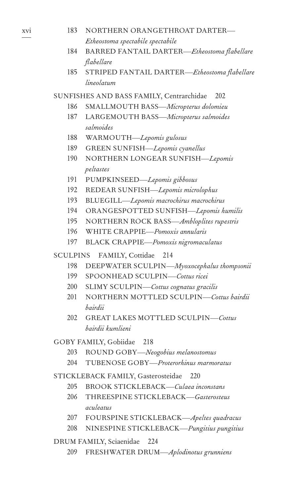| 183             | NORTHERN ORANGETHROAT DARTER-                              |
|-----------------|------------------------------------------------------------|
|                 | Etheostoma spectabile spectabile                           |
| 184             | BARRED FANTAIL DARTER-Etheostoma flabellare                |
| 185             | flabellare                                                 |
|                 | STRIPED FANTAIL DARTER-Etheostoma flabellare<br>lineolatum |
|                 | SUNFISHES AND BASS FAMILY, Centrarchidae<br>202            |
|                 | 186 SMALLMOUTH BASS-Micropterus dolomieu                   |
| 187             | LARGEMOUTH BASS-Micropterus salmoides                      |
|                 | salmoides                                                  |
| 188             | WARMOUTH-Lepomis gulosus                                   |
|                 | 189 GREEN SUNFISH-Lepomis cyanellus                        |
| 190             | NORTHERN LONGEAR SUNFISH-Lepomis                           |
|                 | peltastes                                                  |
| 191             | PUMPKINSEED-Lepomis gibbosus                               |
| 192             | REDEAR SUNFISH-Lepomis microlophus                         |
| 193             | BLUEGILL-Lepomis macrochirus macrochirus                   |
|                 | 194 ORANGESPOTTED SUNFISH-Lepomis humilis                  |
|                 | 195 NORTHERN ROCK BASS- <i>Ambloplites rupestris</i>       |
| 196             | WHITE CRAPPIE-Pomoxis annularis                            |
| 197             | <b>BLACK CRAPPIE-Pomoxis nigromaculatus</b>                |
| <b>SCULPINS</b> | FAMILY, Cottidae<br>214                                    |
| 198             | DEEPWATER SCULPIN-Myoxocephalus thompsonii                 |
|                 | 199 SPOONHEAD SCULPIN-Cottus ricei                         |
| 200             | SLIMY SCULPIN-Cottus cognatus gracilis                     |
| 201             | NORTHERN MOTTLED SCULPIN-Cottus bairdii                    |
|                 | bairdii                                                    |
| 202             | <b>GREAT LAKES MOTTLED SCULPIN-Cottus</b>                  |
|                 | bairdii kumlieni                                           |
|                 | GOBY FAMILY, Gobiidae 218                                  |
|                 | 203 ROUND GOBY-Neogobius melanostomus                      |
| 204             | TUBENOSE GOBY-Proterorhinus marmoratus                     |
|                 | STICKLEBACK FAMILY, Gasterosteidae<br>220                  |
| 205             | BROOK STICKLEBACK-Culaea inconstans                        |
| 206             | THREESPINE STICKLEBACK-Gasterosteus                        |
|                 | aculeatus                                                  |
|                 | 207 FOURSPINE STICKLEBACK-Apeltes quadracus                |
|                 | 208 NINESPINE STICKLEBACK-Pungitius pungitius              |
|                 | DRUM FAMILY, Sciaenidae<br>224                             |
| 209             | FRESHWATER DRUM-Aplodinotus grunniens                      |
|                 |                                                            |
|                 |                                                            |

xvi